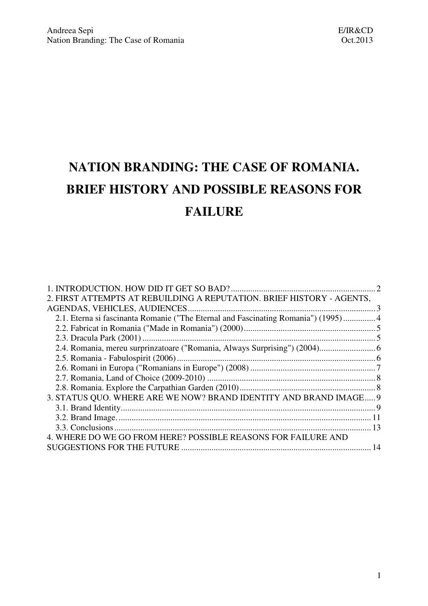# **NATION BRANDING: THE CASE OF ROMANIA. BRIEF HISTORY AND POSSIBLE REASONS FOR FAILURE**

| 2. FIRST ATTEMPTS AT REBUILDING A REPUTATION. BRIEF HISTORY - AGENTS,              |    |
|------------------------------------------------------------------------------------|----|
|                                                                                    |    |
| 2.1. Eterna si fascinanta Romanie ("The Eternal and Fascinating Romania") (1995) 4 |    |
|                                                                                    |    |
|                                                                                    |    |
| 2.4. Romania, mereu surprinzatoare ("Romania, Always Surprising") (2004) 6         |    |
|                                                                                    |    |
|                                                                                    |    |
|                                                                                    |    |
|                                                                                    |    |
| 3. STATUS QUO. WHERE ARE WE NOW? BRAND IDENTITY AND BRAND IMAGE 9                  |    |
|                                                                                    |    |
|                                                                                    |    |
|                                                                                    |    |
| 4. WHERE DO WE GO FROM HERE? POSSIBLE REASONS FOR FAILURE AND                      |    |
|                                                                                    | 14 |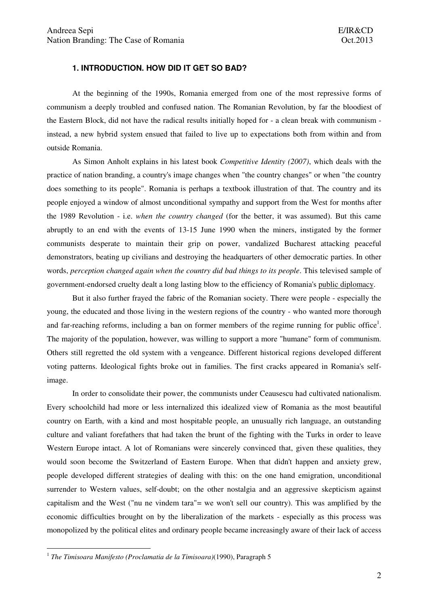## **1. INTRODUCTION. HOW DID IT GET SO BAD?**

 At the beginning of the 1990s, Romania emerged from one of the most repressive forms of communism a deeply troubled and confused nation. The Romanian Revolution, by far the bloodiest of the Eastern Block, did not have the radical results initially hoped for - a clean break with communism instead, a new hybrid system ensued that failed to live up to expectations both from within and from outside Romania.

 As Simon Anholt explains in his latest book *Competitive Identity (2007)*, which deals with the practice of nation branding, a country's image changes when "the country changes" or when "the country does something to its people". Romania is perhaps a textbook illustration of that. The country and its people enjoyed a window of almost unconditional sympathy and support from the West for months after the 1989 Revolution - i.e. *when the country changed* (for the better, it was assumed). But this came abruptly to an end with the events of 13-15 June 1990 when the miners, instigated by the former communists desperate to maintain their grip on power, vandalized Bucharest attacking peaceful demonstrators, beating up civilians and destroying the headquarters of other democratic parties. In other words, *perception changed again when the country did bad things to its people*. This televised sample of government-endorsed cruelty dealt a long lasting blow to the efficiency of Romania's public diplomacy.

 But it also further frayed the fabric of the Romanian society. There were people - especially the young, the educated and those living in the western regions of the country - who wanted more thorough and far-reaching reforms, including a ban on former members of the regime running for public office<sup>1</sup>. The majority of the population, however, was willing to support a more "humane" form of communism. Others still regretted the old system with a vengeance. Different historical regions developed different voting patterns. Ideological fights broke out in families. The first cracks appeared in Romania's selfimage.

 In order to consolidate their power, the communists under Ceausescu had cultivated nationalism. Every schoolchild had more or less internalized this idealized view of Romania as the most beautiful country on Earth, with a kind and most hospitable people, an unusually rich language, an outstanding culture and valiant forefathers that had taken the brunt of the fighting with the Turks in order to leave Western Europe intact. A lot of Romanians were sincerely convinced that, given these qualities, they would soon become the Switzerland of Eastern Europe. When that didn't happen and anxiety grew, people developed different strategies of dealing with this: on the one hand emigration, unconditional surrender to Western values, self-doubt; on the other nostalgia and an aggressive skepticism against capitalism and the West ("nu ne vindem tara"= we won't sell our country). This was amplified by the economic difficulties brought on by the liberalization of the markets - especially as this process was monopolized by the political elites and ordinary people became increasingly aware of their lack of access

 $\overline{a}$ 

<sup>1</sup> *The Timisoara Manifesto (Proclamatia de la Timisoara)*(1990), Paragraph 5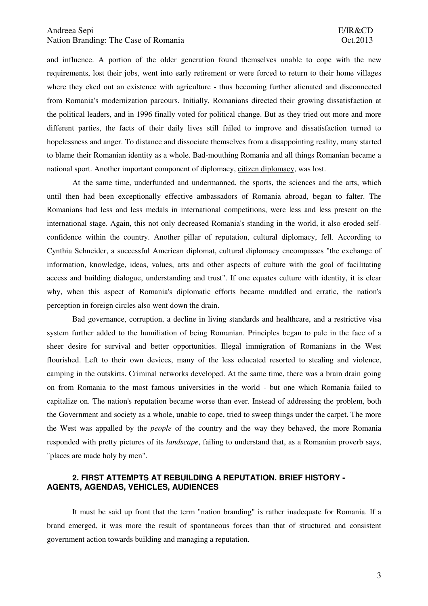and influence. A portion of the older generation found themselves unable to cope with the new requirements, lost their jobs, went into early retirement or were forced to return to their home villages where they eked out an existence with agriculture - thus becoming further alienated and disconnected from Romania's modernization parcours. Initially, Romanians directed their growing dissatisfaction at the political leaders, and in 1996 finally voted for political change. But as they tried out more and more different parties, the facts of their daily lives still failed to improve and dissatisfaction turned to hopelessness and anger. To distance and dissociate themselves from a disappointing reality, many started to blame their Romanian identity as a whole. Bad-mouthing Romania and all things Romanian became a national sport. Another important component of diplomacy, citizen diplomacy, was lost.

 At the same time, underfunded and undermanned, the sports, the sciences and the arts, which until then had been exceptionally effective ambassadors of Romania abroad, began to falter. The Romanians had less and less medals in international competitions, were less and less present on the international stage. Again, this not only decreased Romania's standing in the world, it also eroded selfconfidence within the country. Another pillar of reputation, cultural diplomacy, fell. According to Cynthia Schneider, a successful American diplomat, cultural diplomacy encompasses "the exchange of information, knowledge, ideas, values, arts and other aspects of culture with the goal of facilitating access and building dialogue, understanding and trust". If one equates culture with identity, it is clear why, when this aspect of Romania's diplomatic efforts became muddled and erratic, the nation's perception in foreign circles also went down the drain.

 Bad governance, corruption, a decline in living standards and healthcare, and a restrictive visa system further added to the humiliation of being Romanian. Principles began to pale in the face of a sheer desire for survival and better opportunities. Illegal immigration of Romanians in the West flourished. Left to their own devices, many of the less educated resorted to stealing and violence, camping in the outskirts. Criminal networks developed. At the same time, there was a brain drain going on from Romania to the most famous universities in the world - but one which Romania failed to capitalize on. The nation's reputation became worse than ever. Instead of addressing the problem, both the Government and society as a whole, unable to cope, tried to sweep things under the carpet. The more the West was appalled by the *people* of the country and the way they behaved, the more Romania responded with pretty pictures of its *landscape*, failing to understand that, as a Romanian proverb says, "places are made holy by men".

## **2. FIRST ATTEMPTS AT REBUILDING A REPUTATION. BRIEF HISTORY - AGENTS, AGENDAS, VEHICLES, AUDIENCES**

 It must be said up front that the term "nation branding" is rather inadequate for Romania. If a brand emerged, it was more the result of spontaneous forces than that of structured and consistent government action towards building and managing a reputation.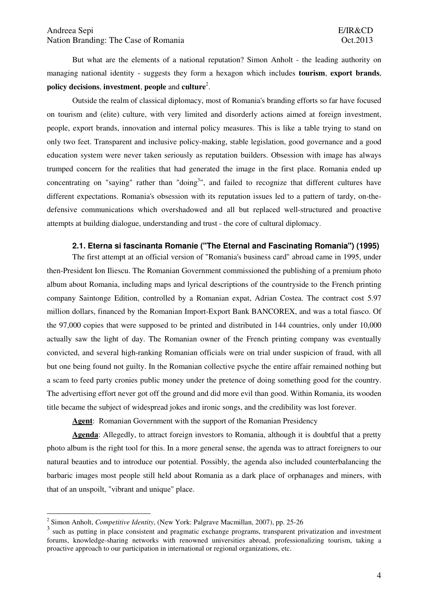But what are the elements of a national reputation? Simon Anholt - the leading authority on managing national identity - suggests they form a hexagon which includes **tourism**, **export brands**, **policy decisions**, **investment**, **people** and **culture**<sup>2</sup> .

 Outside the realm of classical diplomacy, most of Romania's branding efforts so far have focused on tourism and (elite) culture, with very limited and disorderly actions aimed at foreign investment, people, export brands, innovation and internal policy measures. This is like a table trying to stand on only two feet. Transparent and inclusive policy-making, stable legislation, good governance and a good education system were never taken seriously as reputation builders. Obsession with image has always trumped concern for the realities that had generated the image in the first place. Romania ended up concentrating on "saying" rather than "doing<sup>3</sup>", and failed to recognize that different cultures have different expectations. Romania's obsession with its reputation issues led to a pattern of tardy, on-thedefensive communications which overshadowed and all but replaced well-structured and proactive attempts at building dialogue, understanding and trust - the core of cultural diplomacy.

## **2.1. Eterna si fascinanta Romanie ("The Eternal and Fascinating Romania") (1995)**

The first attempt at an official version of "Romania's business card" abroad came in 1995, under then-President Ion Iliescu. The Romanian Government commissioned the publishing of a premium photo album about Romania, including maps and lyrical descriptions of the countryside to the French printing company Saintonge Edition, controlled by a Romanian expat, Adrian Costea. The contract cost 5.97 million dollars, financed by the Romanian Import-Export Bank BANCOREX, and was a total fiasco. Of the 97,000 copies that were supposed to be printed and distributed in 144 countries, only under 10,000 actually saw the light of day. The Romanian owner of the French printing company was eventually convicted, and several high-ranking Romanian officials were on trial under suspicion of fraud, with all but one being found not guilty. In the Romanian collective psyche the entire affair remained nothing but a scam to feed party cronies public money under the pretence of doing something good for the country. The advertising effort never got off the ground and did more evil than good. Within Romania, its wooden title became the subject of widespread jokes and ironic songs, and the credibility was lost forever.

 **Agent**: Romanian Government with the support of the Romanian Presidency

 **Agenda**: Allegedly, to attract foreign investors to Romania, although it is doubtful that a pretty photo album is the right tool for this. In a more general sense, the agenda was to attract foreigners to our natural beauties and to introduce our potential. Possibly, the agenda also included counterbalancing the barbaric images most people still held about Romania as a dark place of orphanages and miners, with that of an unspoilt, "vibrant and unique" place.

 $\overline{a}$ 

<sup>2</sup> Simon Anholt, *Competitive Identity*, (New York: Palgrave Macmillan, 2007), pp. 25-26

<sup>3</sup> such as putting in place consistent and pragmatic exchange programs, transparent privatization and investment forums, knowledge-sharing networks with renowned universities abroad, professionalizing tourism, taking a proactive approach to our participation in international or regional organizations, etc.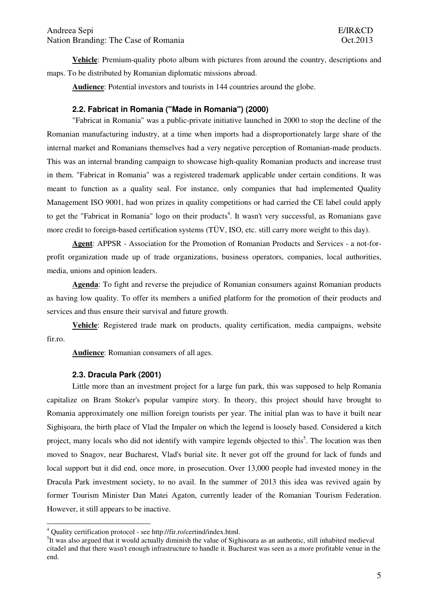**Vehicle**: Premium-quality photo album with pictures from around the country, descriptions and maps. To be distributed by Romanian diplomatic missions abroad.

 **Audience**: Potential investors and tourists in 144 countries around the globe.

# **2.2. Fabricat in Romania ("Made in Romania") (2000)**

"Fabricat in Romania" was a public-private initiative launched in 2000 to stop the decline of the Romanian manufacturing industry, at a time when imports had a disproportionately large share of the internal market and Romanians themselves had a very negative perception of Romanian-made products. This was an internal branding campaign to showcase high-quality Romanian products and increase trust in them. "Fabricat in Romania" was a registered trademark applicable under certain conditions. It was meant to function as a quality seal. For instance, only companies that had implemented Quality Management ISO 9001, had won prizes in quality competitions or had carried the CE label could apply to get the "Fabricat in Romania" logo on their products<sup>4</sup>. It wasn't very successful, as Romanians gave more credit to foreign-based certification systems (TÜV, ISO, etc. still carry more weight to this day).

 **Agent**: APPSR - Association for the Promotion of Romanian Products and Services - a not-forprofit organization made up of trade organizations, business operators, companies, local authorities, media, unions and opinion leaders.

 **Agenda**: To fight and reverse the prejudice of Romanian consumers against Romanian products as having low quality. To offer its members a unified platform for the promotion of their products and services and thus ensure their survival and future growth.

 **Vehicle**: Registered trade mark on products, quality certification, media campaigns, website fir.ro.

 **Audience**: Romanian consumers of all ages.

#### **2.3. Dracula Park (2001)**

Little more than an investment project for a large fun park, this was supposed to help Romania capitalize on Bram Stoker's popular vampire story. In theory, this project should have brought to Romania approximately one million foreign tourists per year. The initial plan was to have it built near Sighişoara, the birth place of Vlad the Impaler on which the legend is loosely based. Considered a kitch project, many locals who did not identify with vampire legends objected to this<sup>5</sup>. The location was then moved to Snagov, near Bucharest, Vlad's burial site. It never got off the ground for lack of funds and local support but it did end, once more, in prosecution. Over 13,000 people had invested money in the Dracula Park investment society, to no avail. In the summer of 2013 this idea was revived again by former Tourism Minister Dan Matei Agaton, currently leader of the Romanian Tourism Federation. However, it still appears to be inactive.

 4 Quality certification protocol - see http://fir.ro/certind/index.html.

 ${}^{5}$ It was also argued that it would actually diminish the value of Sighisoara as an authentic, still inhabited medieval citadel and that there wasn't enough infrastructure to handle it. Bucharest was seen as a more profitable venue in the end.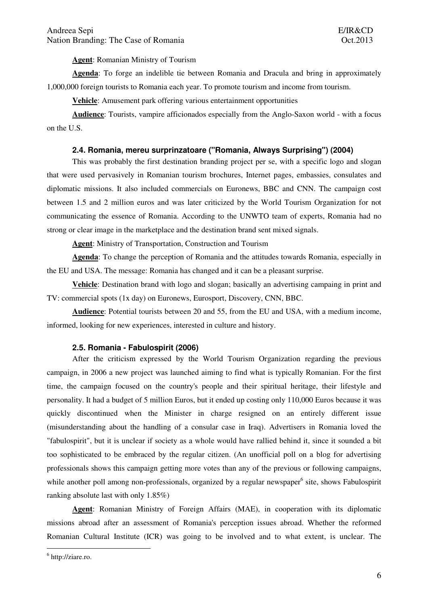**Agent**: Romanian Ministry of Tourism

**Agenda**: To forge an indelible tie between Romania and Dracula and bring in approximately 1,000,000 foreign tourists to Romania each year. To promote tourism and income from tourism.

**Vehicle**: Amusement park offering various entertainment opportunities

**Audience**: Tourists, vampire afficionados especially from the Anglo-Saxon world - with a focus on the U.S.

#### **2.4. Romania, mereu surprinzatoare ("Romania, Always Surprising") (2004)**

 This was probably the first destination branding project per se, with a specific logo and slogan that were used pervasively in Romanian tourism brochures, Internet pages, embassies, consulates and diplomatic missions. It also included commercials on Euronews, BBC and CNN. The campaign cost between 1.5 and 2 million euros and was later criticized by the World Tourism Organization for not communicating the essence of Romania. According to the UNWTO team of experts, Romania had no strong or clear image in the marketplace and the destination brand sent mixed signals.

**Agent**: Ministry of Transportation, Construction and Tourism

**Agenda**: To change the perception of Romania and the attitudes towards Romania, especially in the EU and USA. The message: Romania has changed and it can be a pleasant surprise.

**Vehicle**: Destination brand with logo and slogan; basically an advertising campaing in print and TV: commercial spots (1x day) on Euronews, Eurosport, Discovery, CNN, BBC.

**Audience**: Potential tourists between 20 and 55, from the EU and USA, with a medium income, informed, looking for new experiences, interested in culture and history.

# **2.5. Romania - Fabulospirit (2006)**

 After the criticism expressed by the World Tourism Organization regarding the previous campaign, in 2006 a new project was launched aiming to find what is typically Romanian. For the first time, the campaign focused on the country's people and their spiritual heritage, their lifestyle and personality. It had a budget of 5 million Euros, but it ended up costing only 110,000 Euros because it was quickly discontinued when the Minister in charge resigned on an entirely different issue (misunderstanding about the handling of a consular case in Iraq). Advertisers in Romania loved the "fabulospirit", but it is unclear if society as a whole would have rallied behind it, since it sounded a bit too sophisticated to be embraced by the regular citizen. (An unofficial poll on a blog for advertising professionals shows this campaign getting more votes than any of the previous or following campaigns, while another poll among non-professionals, organized by a regular newspaper<sup>6</sup> site, shows Fabulospirit ranking absolute last with only 1.85%)

**Agent**: Romanian Ministry of Foreign Affairs (MAE), in cooperation with its diplomatic missions abroad after an assessment of Romania's perception issues abroad. Whether the reformed Romanian Cultural Institute (ICR) was going to be involved and to what extent, is unclear. The

 $\overline{a}$ 

<sup>&</sup>lt;sup>6</sup> http://ziare.ro.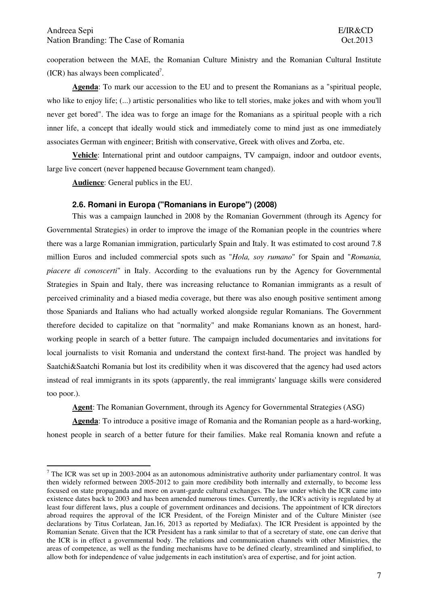cooperation between the MAE, the Romanian Culture Ministry and the Romanian Cultural Institute  $(ICR)$  has always been complicated<sup>7</sup>.

**Agenda**: To mark our accession to the EU and to present the Romanians as a "spiritual people, who like to enjoy life; (...) artistic personalities who like to tell stories, make jokes and with whom you'll never get bored". The idea was to forge an image for the Romanians as a spiritual people with a rich inner life, a concept that ideally would stick and immediately come to mind just as one immediately associates German with engineer; British with conservative, Greek with olives and Zorba, etc.

**Vehicle**: International print and outdoor campaigns, TV campaign, indoor and outdoor events, large live concert (never happened because Government team changed).

**Audience**: General publics in the EU.

 $\overline{a}$ 

#### **2.6. Romani in Europa ("Romanians in Europe") (2008)**

This was a campaign launched in 2008 by the Romanian Government (through its Agency for Governmental Strategies) in order to improve the image of the Romanian people in the countries where there was a large Romanian immigration, particularly Spain and Italy. It was estimated to cost around 7.8 million Euros and included commercial spots such as "*Hola, soy rumano*" for Spain and "*Romania, piacere di conoscerti*" in Italy. According to the evaluations run by the Agency for Governmental Strategies in Spain and Italy, there was increasing reluctance to Romanian immigrants as a result of perceived criminality and a biased media coverage, but there was also enough positive sentiment among those Spaniards and Italians who had actually worked alongside regular Romanians. The Government therefore decided to capitalize on that "normality" and make Romanians known as an honest, hardworking people in search of a better future. The campaign included documentaries and invitations for local journalists to visit Romania and understand the context first-hand. The project was handled by Saatchi&Saatchi Romania but lost its credibility when it was discovered that the agency had used actors instead of real immigrants in its spots (apparently, the real immigrants' language skills were considered too poor.).

**Agent**: The Romanian Government, through its Agency for Governmental Strategies (ASG)

**Agenda**: To introduce a positive image of Romania and the Romanian people as a hard-working, honest people in search of a better future for their families. Make real Romania known and refute a

<sup>&</sup>lt;sup>7</sup> The ICR was set up in 2003-2004 as an autonomous administrative authority under parliamentary control. It was then widely reformed between 2005-2012 to gain more credibility both internally and externally, to become less focused on state propaganda and more on avant-garde cultural exchanges. The law under which the ICR came into existence dates back to 2003 and has been amended numerous times. Currently, the ICR's activity is regulated by at least four different laws, plus a couple of government ordinances and decisions. The appointment of ICR directors abroad requires the approval of the ICR President, of the Foreign Minister and of the Culture Minister (see declarations by Titus Corlatean, Jan.16, 2013 as reported by Mediafax). The ICR President is appointed by the Romanian Senate. Given that the ICR President has a rank similar to that of a secretary of state, one can derive that the ICR is in effect a governmental body. The relations and communication channels with other Ministries, the areas of competence, as well as the funding mechanisms have to be defined clearly, streamlined and simplified, to allow both for independence of value judgements in each institution's area of expertise, and for joint action.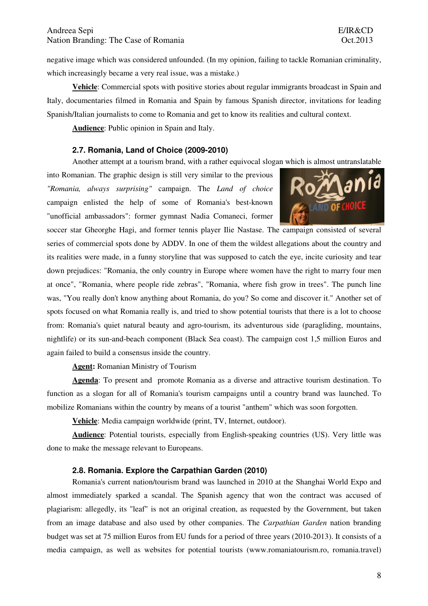negative image which was considered unfounded. (In my opinion, failing to tackle Romanian criminality, which increasingly became a very real issue, was a mistake.)

**Vehicle**: Commercial spots with positive stories about regular immigrants broadcast in Spain and Italy, documentaries filmed in Romania and Spain by famous Spanish director, invitations for leading Spanish/Italian journalists to come to Romania and get to know its realities and cultural context.

**Audience**: Public opinion in Spain and Italy.

#### **2.7. Romania, Land of Choice (2009-2010)**

Another attempt at a tourism brand, with a rather equivocal slogan which is almost untranslatable

into Romanian. The graphic design is still very similar to the previous *"Romania, always surprising"* campaign. The *Land of choice* campaign enlisted the help of some of Romania's best-known "unofficial ambassadors": former gymnast Nadia Comaneci, former



soccer star Gheorghe Hagi, and former tennis player Ilie Nastase. The campaign consisted of several series of commercial spots done by ADDV. In one of them the wildest allegations about the country and its realities were made, in a funny storyline that was supposed to catch the eye, incite curiosity and tear down prejudices: "Romania, the only country in Europe where women have the right to marry four men at once", "Romania, where people ride zebras", "Romania, where fish grow in trees". The punch line was, "You really don't know anything about Romania, do you? So come and discover it." Another set of spots focused on what Romania really is, and tried to show potential tourists that there is a lot to choose from: Romania's quiet natural beauty and agro-tourism, its adventurous side (paragliding, mountains, nightlife) or its sun-and-beach component (Black Sea coast). The campaign cost 1,5 million Euros and again failed to build a consensus inside the country.

**Agent:** Romanian Ministry of Tourism

**Agenda**: To present and promote Romania as a diverse and attractive tourism destination. To function as a slogan for all of Romania's tourism campaigns until a country brand was launched. To mobilize Romanians within the country by means of a tourist "anthem" which was soon forgotten.

**Vehicle**: Media campaign worldwide (print, TV, Internet, outdoor).

**Audience**: Potential tourists, especially from English-speaking countries (US). Very little was done to make the message relevant to Europeans.

## **2.8. Romania. Explore the Carpathian Garden (2010)**

Romania's current nation/tourism brand was launched in 2010 at the Shanghai World Expo and almost immediately sparked a scandal. The Spanish agency that won the contract was accused of plagiarism: allegedly, its "leaf" is not an original creation, as requested by the Government, but taken from an image database and also used by other companies. The *Carpathian Garden* nation branding budget was set at 75 million Euros from EU funds for a period of three years (2010-2013). It consists of a media campaign, as well as websites for potential tourists (www.romaniatourism.ro, romania.travel)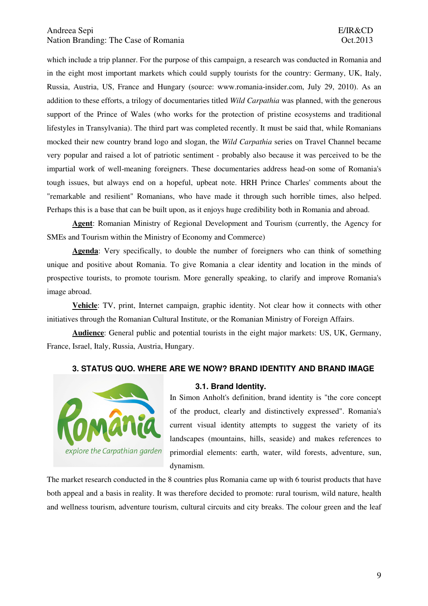which include a trip planner. For the purpose of this campaign, a research was conducted in Romania and in the eight most important markets which could supply tourists for the country: Germany, UK, Italy, Russia, Austria, US, France and Hungary (source: www.romania-insider.com, July 29, 2010). As an addition to these efforts, a trilogy of documentaries titled *Wild Carpathia* was planned, with the generous support of the Prince of Wales (who works for the protection of pristine ecosystems and traditional lifestyles in Transylvania). The third part was completed recently. It must be said that, while Romanians mocked their new country brand logo and slogan, the *Wild Carpathia* series on Travel Channel became very popular and raised a lot of patriotic sentiment - probably also because it was perceived to be the impartial work of well-meaning foreigners. These documentaries address head-on some of Romania's tough issues, but always end on a hopeful, upbeat note. HRH Prince Charles' comments about the "remarkable and resilient" Romanians, who have made it through such horrible times, also helped. Perhaps this is a base that can be built upon, as it enjoys huge credibility both in Romania and abroad.

**Agent**: Romanian Ministry of Regional Development and Tourism (currently, the Agency for SMEs and Tourism within the Ministry of Economy and Commerce)

**Agenda**: Very specifically, to double the number of foreigners who can think of something unique and positive about Romania. To give Romania a clear identity and location in the minds of prospective tourists, to promote tourism. More generally speaking, to clarify and improve Romania's image abroad.

**Vehicle**: TV, print, Internet campaign, graphic identity. Not clear how it connects with other initiatives through the Romanian Cultural Institute, or the Romanian Ministry of Foreign Affairs.

**Audience**: General public and potential tourists in the eight major markets: US, UK, Germany, France, Israel, Italy, Russia, Austria, Hungary.

#### **3. STATUS QUO. WHERE ARE WE NOW? BRAND IDENTITY AND BRAND IMAGE**



#### **3.1. Brand Identity.**

In Simon Anholt's definition, brand identity is "the core concept of the product, clearly and distinctively expressed". Romania's current visual identity attempts to suggest the variety of its landscapes (mountains, hills, seaside) and makes references to primordial elements: earth, water, wild forests, adventure, sun, dynamism.

The market research conducted in the 8 countries plus Romania came up with 6 tourist products that have both appeal and a basis in reality. It was therefore decided to promote: rural tourism, wild nature, health and wellness tourism, adventure tourism, cultural circuits and city breaks. The colour green and the leaf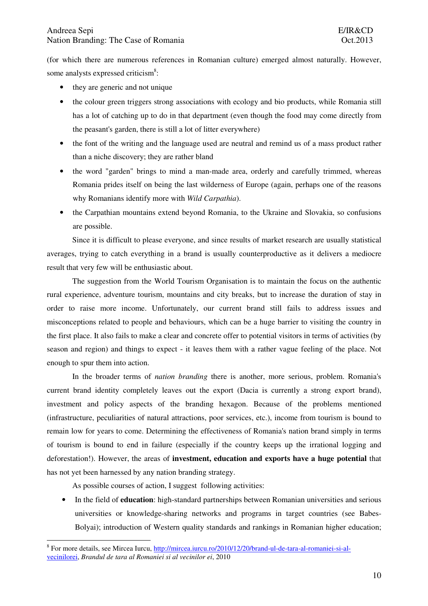(for which there are numerous references in Romanian culture) emerged almost naturally. However, some analysts expressed criticism<sup>8</sup>:

- they are generic and not unique
- the colour green triggers strong associations with ecology and bio products, while Romania still has a lot of catching up to do in that department (even though the food may come directly from the peasant's garden, there is still a lot of litter everywhere)
- the font of the writing and the language used are neutral and remind us of a mass product rather than a niche discovery; they are rather bland
- the word "garden" brings to mind a man-made area, orderly and carefully trimmed, whereas Romania prides itself on being the last wilderness of Europe (again, perhaps one of the reasons why Romanians identify more with *Wild Carpathia*).
- the Carpathian mountains extend beyond Romania, to the Ukraine and Slovakia, so confusions are possible.

 Since it is difficult to please everyone, and since results of market research are usually statistical averages, trying to catch everything in a brand is usually counterproductive as it delivers a mediocre result that very few will be enthusiastic about.

 The suggestion from the World Tourism Organisation is to maintain the focus on the authentic rural experience, adventure tourism, mountains and city breaks, but to increase the duration of stay in order to raise more income. Unfortunately, our current brand still fails to address issues and misconceptions related to people and behaviours, which can be a huge barrier to visiting the country in the first place. It also fails to make a clear and concrete offer to potential visitors in terms of activities (by season and region) and things to expect - it leaves them with a rather vague feeling of the place. Not enough to spur them into action.

 In the broader terms of *nation branding* there is another, more serious, problem. Romania's current brand identity completely leaves out the export (Dacia is currently a strong export brand), investment and policy aspects of the branding hexagon. Because of the problems mentioned (infrastructure, peculiarities of natural attractions, poor services, etc.), income from tourism is bound to remain low for years to come. Determining the effectiveness of Romania's nation brand simply in terms of tourism is bound to end in failure (especially if the country keeps up the irrational logging and deforestation!). However, the areas of **investment, education and exports have a huge potential** that has not yet been harnessed by any nation branding strategy.

As possible courses of action, I suggest following activities:

• In the field of **education**: high-standard partnerships between Romanian universities and serious universities or knowledge-sharing networks and programs in target countries (see Babes-Bolyai); introduction of Western quality standards and rankings in Romanian higher education;

 $\overline{a}$ <sup>8</sup> For more details, see Mircea Iurcu, http://mircea.iurcu.ro/2010/12/20/brand-ul-de-tara-al-romaniei-si-alvecinilorei, *Brandul de tara al Romaniei si al vecinilor ei*, 2010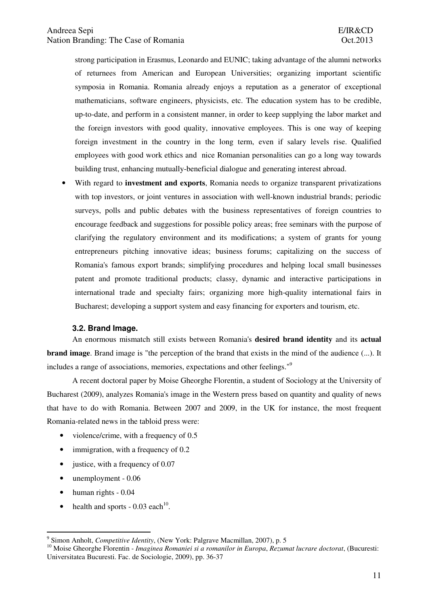strong participation in Erasmus, Leonardo and EUNIC; taking advantage of the alumni networks of returnees from American and European Universities; organizing important scientific symposia in Romania. Romania already enjoys a reputation as a generator of exceptional mathematicians, software engineers, physicists, etc. The education system has to be credible, up-to-date, and perform in a consistent manner, in order to keep supplying the labor market and the foreign investors with good quality, innovative employees. This is one way of keeping foreign investment in the country in the long term, even if salary levels rise. Qualified employees with good work ethics and nice Romanian personalities can go a long way towards building trust, enhancing mutually-beneficial dialogue and generating interest abroad.

• With regard to **investment and exports**, Romania needs to organize transparent privatizations with top investors, or joint ventures in association with well-known industrial brands; periodic surveys, polls and public debates with the business representatives of foreign countries to encourage feedback and suggestions for possible policy areas; free seminars with the purpose of clarifying the regulatory environment and its modifications; a system of grants for young entrepreneurs pitching innovative ideas; business forums; capitalizing on the success of Romania's famous export brands; simplifying procedures and helping local small businesses patent and promote traditional products; classy, dynamic and interactive participations in international trade and specialty fairs; organizing more high-quality international fairs in Bucharest; developing a support system and easy financing for exporters and tourism, etc.

#### **3.2. Brand Image.**

 An enormous mismatch still exists between Romania's **desired brand identity** and its **actual brand image**. Brand image is "the perception of the brand that exists in the mind of the audience (...). It includes a range of associations, memories, expectations and other feelings."<sup>9</sup>

 A recent doctoral paper by Moise Gheorghe Florentin, a student of Sociology at the University of Bucharest (2009), analyzes Romania's image in the Western press based on quantity and quality of news that have to do with Romania. Between 2007 and 2009, in the UK for instance, the most frequent Romania-related news in the tabloid press were:

- violence/crime, with a frequency of 0.5
- immigration, with a frequency of 0.2
- justice, with a frequency of 0.07
- unemployment 0.06
- human rights 0.04

 $\overline{a}$ 

• health and sports  $-0.03$  each<sup>10</sup>.

<sup>9</sup> Simon Anholt, *Competitive Identity*, (New York: Palgrave Macmillan, 2007), p. 5

<sup>10</sup> Moise Gheorghe Florentin - *Imaginea Romaniei si a romanilor in Europa*, *Rezumat lucrare doctorat*, (Bucuresti: Universitatea Bucuresti. Fac. de Sociologie, 2009), pp. 36-37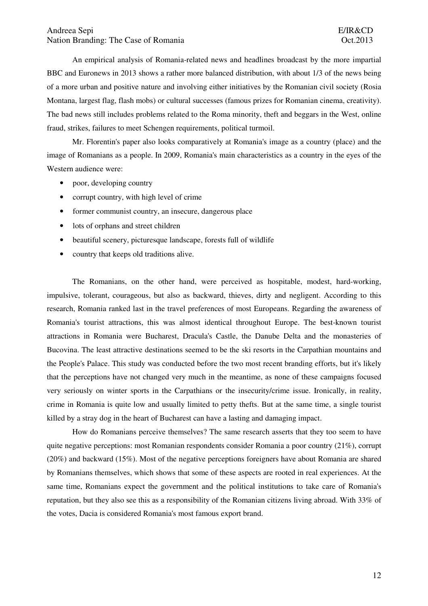An empirical analysis of Romania-related news and headlines broadcast by the more impartial BBC and Euronews in 2013 shows a rather more balanced distribution, with about 1/3 of the news being of a more urban and positive nature and involving either initiatives by the Romanian civil society (Rosia Montana, largest flag, flash mobs) or cultural successes (famous prizes for Romanian cinema, creativity). The bad news still includes problems related to the Roma minority, theft and beggars in the West, online fraud, strikes, failures to meet Schengen requirements, political turmoil.

 Mr. Florentin's paper also looks comparatively at Romania's image as a country (place) and the image of Romanians as a people. In 2009, Romania's main characteristics as a country in the eyes of the Western audience were:

- poor, developing country
- corrupt country, with high level of crime
- former communist country, an insecure, dangerous place
- lots of orphans and street children
- beautiful scenery, picturesque landscape, forests full of wildlife
- country that keeps old traditions alive.

 The Romanians, on the other hand, were perceived as hospitable, modest, hard-working, impulsive, tolerant, courageous, but also as backward, thieves, dirty and negligent. According to this research, Romania ranked last in the travel preferences of most Europeans. Regarding the awareness of Romania's tourist attractions, this was almost identical throughout Europe. The best-known tourist attractions in Romania were Bucharest, Dracula's Castle, the Danube Delta and the monasteries of Bucovina. The least attractive destinations seemed to be the ski resorts in the Carpathian mountains and the People's Palace. This study was conducted before the two most recent branding efforts, but it's likely that the perceptions have not changed very much in the meantime, as none of these campaigns focused very seriously on winter sports in the Carpathians or the insecurity/crime issue. Ironically, in reality, crime in Romania is quite low and usually limited to petty thefts. But at the same time, a single tourist killed by a stray dog in the heart of Bucharest can have a lasting and damaging impact.

 How do Romanians perceive themselves? The same research asserts that they too seem to have quite negative perceptions: most Romanian respondents consider Romania a poor country (21%), corrupt (20%) and backward (15%). Most of the negative perceptions foreigners have about Romania are shared by Romanians themselves, which shows that some of these aspects are rooted in real experiences. At the same time, Romanians expect the government and the political institutions to take care of Romania's reputation, but they also see this as a responsibility of the Romanian citizens living abroad. With 33% of the votes, Dacia is considered Romania's most famous export brand.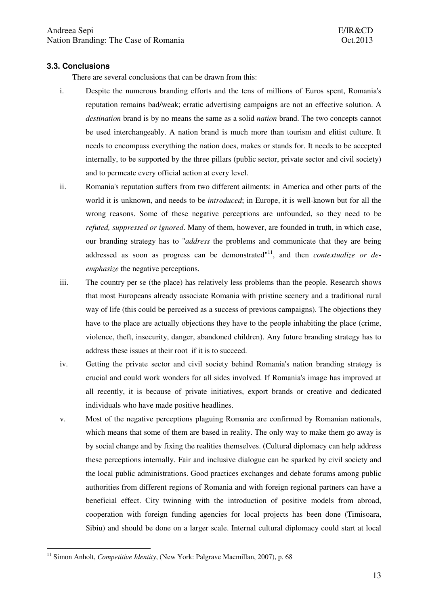## **3.3. Conclusions**

There are several conclusions that can be drawn from this:

- i. Despite the numerous branding efforts and the tens of millions of Euros spent, Romania's reputation remains bad/weak; erratic advertising campaigns are not an effective solution. A *destination* brand is by no means the same as a solid *nation* brand. The two concepts cannot be used interchangeably. A nation brand is much more than tourism and elitist culture. It needs to encompass everything the nation does, makes or stands for. It needs to be accepted internally, to be supported by the three pillars (public sector, private sector and civil society) and to permeate every official action at every level.
- ii. Romania's reputation suffers from two different ailments: in America and other parts of the world it is unknown, and needs to be *introduced*; in Europe, it is well-known but for all the wrong reasons. Some of these negative perceptions are unfounded, so they need to be *refuted, suppressed or ignored*. Many of them, however, are founded in truth, in which case, our branding strategy has to "*address* the problems and communicate that they are being addressed as soon as progress can be demonstrated<sup>"11</sup>, and then *contextualize or deemphasize* the negative perceptions.
- iii. The country per se (the place) has relatively less problems than the people. Research shows that most Europeans already associate Romania with pristine scenery and a traditional rural way of life (this could be perceived as a success of previous campaigns). The objections they have to the place are actually objections they have to the people inhabiting the place (crime, violence, theft, insecurity, danger, abandoned children). Any future branding strategy has to address these issues at their root if it is to succeed.
- iv. Getting the private sector and civil society behind Romania's nation branding strategy is crucial and could work wonders for all sides involved. If Romania's image has improved at all recently, it is because of private initiatives, export brands or creative and dedicated individuals who have made positive headlines.
- v. Most of the negative perceptions plaguing Romania are confirmed by Romanian nationals, which means that some of them are based in reality. The only way to make them go away is by social change and by fixing the realities themselves. (Cultural diplomacy can help address these perceptions internally. Fair and inclusive dialogue can be sparked by civil society and the local public administrations. Good practices exchanges and debate forums among public authorities from different regions of Romania and with foreign regional partners can have a beneficial effect. City twinning with the introduction of positive models from abroad, cooperation with foreign funding agencies for local projects has been done (Timisoara, Sibiu) and should be done on a larger scale. Internal cultural diplomacy could start at local

 $\overline{a}$ <sup>11</sup> Simon Anholt, *Competitive Identity*, (New York: Palgrave Macmillan, 2007), p. 68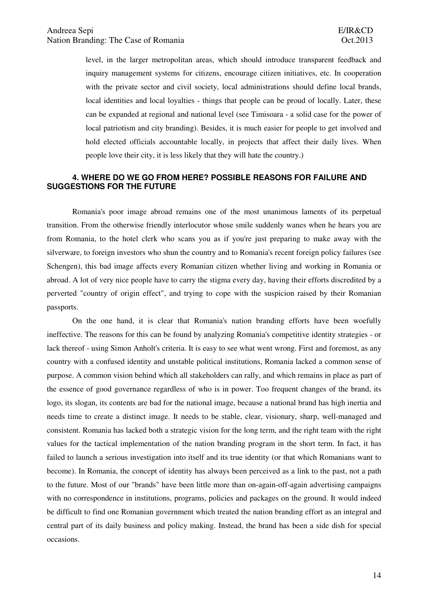level, in the larger metropolitan areas, which should introduce transparent feedback and inquiry management systems for citizens, encourage citizen initiatives, etc. In cooperation with the private sector and civil society, local administrations should define local brands, local identities and local loyalties - things that people can be proud of locally. Later, these can be expanded at regional and national level (see Timisoara - a solid case for the power of local patriotism and city branding). Besides, it is much easier for people to get involved and hold elected officials accountable locally, in projects that affect their daily lives. When people love their city, it is less likely that they will hate the country.)

# **4. WHERE DO WE GO FROM HERE? POSSIBLE REASONS FOR FAILURE AND SUGGESTIONS FOR THE FUTURE**

 Romania's poor image abroad remains one of the most unanimous laments of its perpetual transition. From the otherwise friendly interlocutor whose smile suddenly wanes when he hears you are from Romania, to the hotel clerk who scans you as if you're just preparing to make away with the silverware, to foreign investors who shun the country and to Romania's recent foreign policy failures (see Schengen), this bad image affects every Romanian citizen whether living and working in Romania or abroad. A lot of very nice people have to carry the stigma every day, having their efforts discredited by a perverted "country of origin effect", and trying to cope with the suspicion raised by their Romanian passports.

 On the one hand, it is clear that Romania's nation branding efforts have been woefully ineffective. The reasons for this can be found by analyzing Romania's competitive identity strategies - or lack thereof - using Simon Anholt's criteria. It is easy to see what went wrong. First and foremost, as any country with a confused identity and unstable political institutions, Romania lacked a common sense of purpose. A common vision behind which all stakeholders can rally, and which remains in place as part of the essence of good governance regardless of who is in power. Too frequent changes of the brand, its logo, its slogan, its contents are bad for the national image, because a national brand has high inertia and needs time to create a distinct image. It needs to be stable, clear, visionary, sharp, well-managed and consistent. Romania has lacked both a strategic vision for the long term, and the right team with the right values for the tactical implementation of the nation branding program in the short term. In fact, it has failed to launch a serious investigation into itself and its true identity (or that which Romanians want to become). In Romania, the concept of identity has always been perceived as a link to the past, not a path to the future. Most of our "brands" have been little more than on-again-off-again advertising campaigns with no correspondence in institutions, programs, policies and packages on the ground. It would indeed be difficult to find one Romanian government which treated the nation branding effort as an integral and central part of its daily business and policy making. Instead, the brand has been a side dish for special occasions.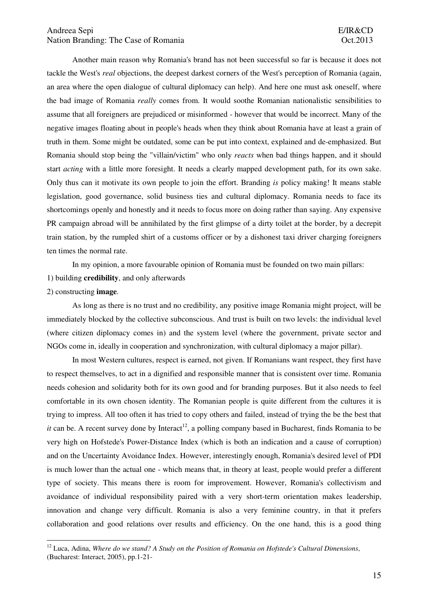# Andreea Sepi E/IR&CD Nation Branding: The Case of Romania  $Oct.2013$

 Another main reason why Romania's brand has not been successful so far is because it does not tackle the West's *real* objections, the deepest darkest corners of the West's perception of Romania (again, an area where the open dialogue of cultural diplomacy can help). And here one must ask oneself, where the bad image of Romania *really* comes from. It would soothe Romanian nationalistic sensibilities to assume that all foreigners are prejudiced or misinformed - however that would be incorrect. Many of the negative images floating about in people's heads when they think about Romania have at least a grain of truth in them. Some might be outdated, some can be put into context, explained and de-emphasized. But Romania should stop being the "villain/victim" who only *reacts* when bad things happen, and it should start *acting* with a little more foresight. It needs a clearly mapped development path, for its own sake. Only thus can it motivate its own people to join the effort. Branding *is* policy making! It means stable legislation, good governance, solid business ties and cultural diplomacy. Romania needs to face its shortcomings openly and honestly and it needs to focus more on doing rather than saying. Any expensive PR campaign abroad will be annihilated by the first glimpse of a dirty toilet at the border, by a decrepit train station, by the rumpled shirt of a customs officer or by a dishonest taxi driver charging foreigners ten times the normal rate.

In my opinion, a more favourable opinion of Romania must be founded on two main pillars:

1) building **credibility**, and only afterwards

#### 2) constructing **image**.

 $\overline{a}$ 

 As long as there is no trust and no credibility, any positive image Romania might project, will be immediately blocked by the collective subconscious. And trust is built on two levels: the individual level (where citizen diplomacy comes in) and the system level (where the government, private sector and NGOs come in, ideally in cooperation and synchronization, with cultural diplomacy a major pillar).

 In most Western cultures, respect is earned, not given. If Romanians want respect, they first have to respect themselves, to act in a dignified and responsible manner that is consistent over time. Romania needs cohesion and solidarity both for its own good and for branding purposes. But it also needs to feel comfortable in its own chosen identity. The Romanian people is quite different from the cultures it is trying to impress. All too often it has tried to copy others and failed, instead of trying the be the best that *it* can be. A recent survey done by Interact<sup>12</sup>, a polling company based in Bucharest, finds Romania to be very high on Hofstede's Power-Distance Index (which is both an indication and a cause of corruption) and on the Uncertainty Avoidance Index. However, interestingly enough, Romania's desired level of PDI is much lower than the actual one - which means that, in theory at least, people would prefer a different type of society. This means there is room for improvement. However, Romania's collectivism and avoidance of individual responsibility paired with a very short-term orientation makes leadership, innovation and change very difficult. Romania is also a very feminine country, in that it prefers collaboration and good relations over results and efficiency. On the one hand, this is a good thing

<sup>12</sup> Luca, Adina, *Where do we stand? A Study on the Position of Romania on Hofstede's Cultural Dimensions*, (Bucharest: Interact, 2005), pp.1-21-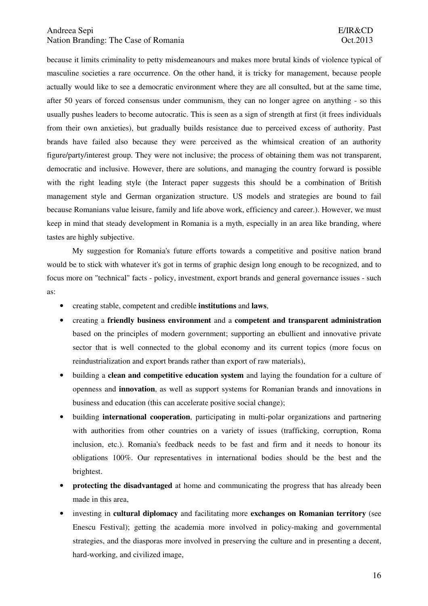## Andreea Sepi E/IR&CD Nation Branding: The Case of Romania  $Oct.2013$

because it limits criminality to petty misdemeanours and makes more brutal kinds of violence typical of masculine societies a rare occurrence. On the other hand, it is tricky for management, because people actually would like to see a democratic environment where they are all consulted, but at the same time, after 50 years of forced consensus under communism, they can no longer agree on anything - so this usually pushes leaders to become autocratic. This is seen as a sign of strength at first (it frees individuals from their own anxieties), but gradually builds resistance due to perceived excess of authority. Past brands have failed also because they were perceived as the whimsical creation of an authority figure/party/interest group. They were not inclusive; the process of obtaining them was not transparent, democratic and inclusive. However, there are solutions, and managing the country forward is possible with the right leading style (the Interact paper suggests this should be a combination of British management style and German organization structure. US models and strategies are bound to fail because Romanians value leisure, family and life above work, efficiency and career.). However, we must keep in mind that steady development in Romania is a myth, especially in an area like branding, where tastes are highly subjective.

 My suggestion for Romania's future efforts towards a competitive and positive nation brand would be to stick with whatever it's got in terms of graphic design long enough to be recognized, and to focus more on "technical" facts - policy, investment, export brands and general governance issues - such as:

- creating stable, competent and credible **institutions** and **laws**,
- creating a **friendly business environment** and a **competent and transparent administration** based on the principles of modern government; supporting an ebullient and innovative private sector that is well connected to the global economy and its current topics (more focus on reindustrialization and export brands rather than export of raw materials),
- building a **clean and competitive education system** and laying the foundation for a culture of openness and **innovation**, as well as support systems for Romanian brands and innovations in business and education (this can accelerate positive social change);
- building **international cooperation**, participating in multi-polar organizations and partnering with authorities from other countries on a variety of issues (trafficking, corruption, Roma inclusion, etc.). Romania's feedback needs to be fast and firm and it needs to honour its obligations 100%. Our representatives in international bodies should be the best and the brightest.
- **protecting the disadvantaged** at home and communicating the progress that has already been made in this area,
- investing in **cultural diplomacy** and facilitating more **exchanges on Romanian territory** (see Enescu Festival); getting the academia more involved in policy-making and governmental strategies, and the diasporas more involved in preserving the culture and in presenting a decent, hard-working, and civilized image,